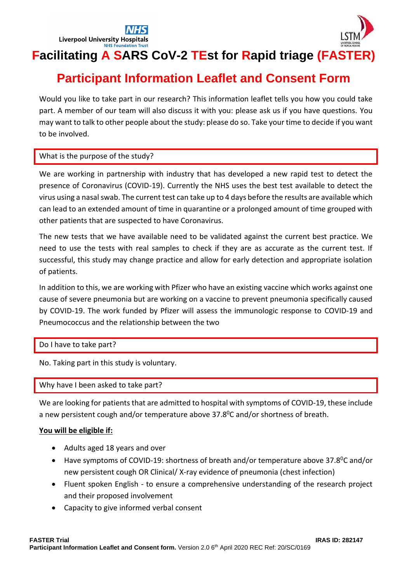



# **Facilitating A SARS CoV-2 TEst for Rapid triage (FASTER)**

## **Participant Information Leaflet and Consent Form**

Would you like to take part in our research? This information leaflet tells you how you could take part. A member of our team will also discuss it with you: please ask us if you have questions. You may want to talk to other people about the study: please do so. Take your time to decide if you want to be involved.

## What is the purpose of the study?

We are working in partnership with industry that has developed a new rapid test to detect the presence of Coronavirus (COVID-19). Currently the NHS uses the best test available to detect the virus using a nasal swab. The current test can take up to 4 days before the results are available which can lead to an extended amount of time in quarantine or a prolonged amount of time grouped with other patients that are suspected to have Coronavirus.

The new tests that we have available need to be validated against the current best practice. We need to use the tests with real samples to check if they are as accurate as the current test. If successful, this study may change practice and allow for early detection and appropriate isolation of patients.

In addition to this, we are working with Pfizer who have an existing vaccine which works against one cause of severe pneumonia but are working on a vaccine to prevent pneumonia specifically caused by COVID-19. The work funded by Pfizer will assess the immunologic response to COVID-19 and Pneumococcus and the relationship between the two

## Do I have to take part?

No. Taking part in this study is voluntary.

## Why have I been asked to take part?

We are looking for patients that are admitted to hospital with symptoms of COVID-19, these include a new persistent cough and/or temperature above  $37.8^{\circ}$ C and/or shortness of breath.

## **You will be eligible if:**

- Adults aged 18 years and over
- Have symptoms of COVID-19: shortness of breath and/or temperature above 37.8<sup>o</sup>C and/or new persistent cough OR Clinical/ X-ray evidence of pneumonia (chest infection)
- Fluent spoken English to ensure a comprehensive understanding of the research project and their proposed involvement
- Capacity to give informed verbal consent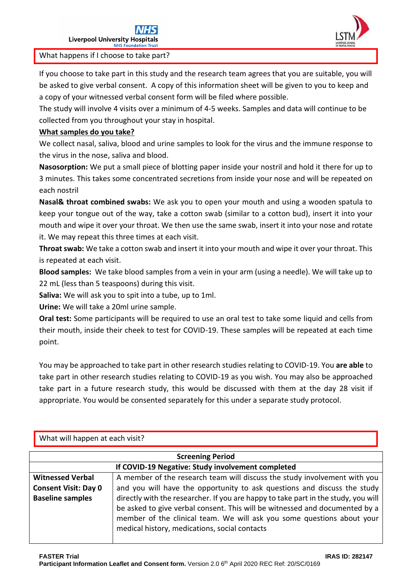

What happens if I choose to take part?

If you choose to take part in this study and the research team agrees that you are suitable, you will be asked to give verbal consent. A copy of this information sheet will be given to you to keep and a copy of your witnessed verbal consent form will be filed where possible.

The study will involve 4 visits over a minimum of 4-5 weeks. Samples and data will continue to be collected from you throughout your stay in hospital.

## **What samples do you take?**

We collect nasal, saliva, blood and urine samples to look for the virus and the immune response to the virus in the nose, saliva and blood.

**Nasosorption:** We put a small piece of blotting paper inside your nostril and hold it there for up to 3 minutes. This takes some concentrated secretions from inside your nose and will be repeated on each nostril

**Nasal& throat combined swabs:** We ask you to open your mouth and using a wooden spatula to keep your tongue out of the way, take a cotton swab (similar to a cotton bud), insert it into your mouth and wipe it over your throat. We then use the same swab, insert it into your nose and rotate it. We may repeat this three times at each visit.

**Throat swab:** We take a cotton swab and insert it into your mouth and wipe it over your throat. This is repeated at each visit.

**Blood samples:** We take blood samples from a vein in your arm (using a needle). We will take up to 22 mL (less than 5 teaspoons) during this visit.

**Saliva:** We will ask you to spit into a tube, up to 1ml.

**Urine:** We will take a 20ml urine sample.

**Oral test:** Some participants will be required to use an oral test to take some liquid and cells from their mouth, inside their cheek to test for COVID-19. These samples will be repeated at each time point.

You may be approached to take part in other research studies relating to COVID-19. You **are able** to take part in other research studies relating to COVID-19 as you wish. You may also be approached take part in a future research study, this would be discussed with them at the day 28 visit if appropriate. You would be consented separately for this under a separate study protocol.

| What will happen at each visit?                   |                                                                                    |  |  |
|---------------------------------------------------|------------------------------------------------------------------------------------|--|--|
| <b>Screening Period</b>                           |                                                                                    |  |  |
| If COVID-19 Negative: Study involvement completed |                                                                                    |  |  |
| <b>Witnessed Verbal</b>                           | A member of the research team will discuss the study involvement with you          |  |  |
| <b>Consent Visit: Day 0</b>                       | and you will have the opportunity to ask questions and discuss the study           |  |  |
| <b>Baseline samples</b>                           | directly with the researcher. If you are happy to take part in the study, you will |  |  |
|                                                   | be asked to give verbal consent. This will be witnessed and documented by a        |  |  |
|                                                   | member of the clinical team. We will ask you some questions about your             |  |  |
|                                                   | medical history, medications, social contacts                                      |  |  |
|                                                   |                                                                                    |  |  |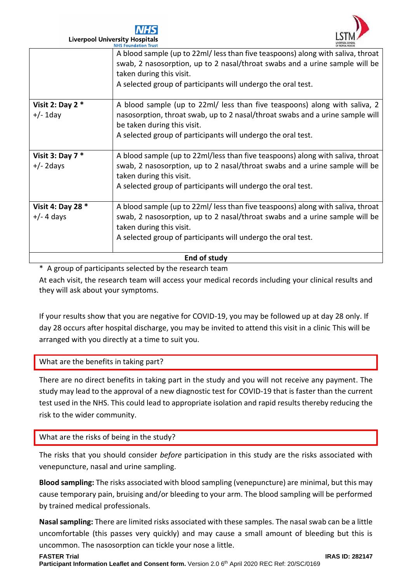



**Liverpool University Hospitals** 

| End of study                      |                                                                                                                                                                |  |  |
|-----------------------------------|----------------------------------------------------------------------------------------------------------------------------------------------------------------|--|--|
|                                   | A selected group of participants will undergo the oral test.                                                                                                   |  |  |
|                                   | taken during this visit.                                                                                                                                       |  |  |
| Visit 4: Day 28 *<br>$+/- 4$ days | A blood sample (up to 22ml/ less than five teaspoons) along with saliva, throat<br>swab, 2 nasosorption, up to 2 nasal/throat swabs and a urine sample will be |  |  |
|                                   | A selected group of participants will undergo the oral test.                                                                                                   |  |  |
|                                   | taken during this visit.                                                                                                                                       |  |  |
| $+/- 2$ days                      | swab, 2 nasosorption, up to 2 nasal/throat swabs and a urine sample will be                                                                                    |  |  |
| Visit 3: Day $7 *$                | A blood sample (up to 22ml/less than five teaspoons) along with saliva, throat                                                                                 |  |  |
|                                   | A selected group of participants will undergo the oral test.                                                                                                   |  |  |
|                                   | be taken during this visit.                                                                                                                                    |  |  |
| $+/- 1$ day                       | nasosorption, throat swab, up to 2 nasal/throat swabs and a urine sample will                                                                                  |  |  |
| Visit 2: Day 2 $*$                | A blood sample (up to 22ml/ less than five teaspoons) along with saliva, 2                                                                                     |  |  |
|                                   | A selected group of participants will undergo the oral test.                                                                                                   |  |  |
|                                   | taken during this visit.                                                                                                                                       |  |  |
|                                   | swab, 2 nasosorption, up to 2 nasal/throat swabs and a urine sample will be                                                                                    |  |  |
|                                   | <b>NHS Foundation Irust</b><br>A blood sample (up to 22ml/ less than five teaspoons) along with saliva, throat                                                 |  |  |

\* A group of participants selected by the research team

At each visit, the research team will access your medical records including your clinical results and they will ask about your symptoms.

If your results show that you are negative for COVID-19, you may be followed up at day 28 only. If day 28 occurs after hospital discharge, you may be invited to attend this visit in a clinic This will be arranged with you directly at a time to suit you.

## What are the benefits in taking part?

There are no direct benefits in taking part in the study and you will not receive any payment. The study may lead to the approval of a new diagnostic test for COVID-19 that is faster than the current test used in the NHS. This could lead to appropriate isolation and rapid results thereby reducing the risk to the wider community.

## What are the risks of being in the study?

The risks that you should consider *before* participation in this study are the risks associated with venepuncture, nasal and urine sampling.

**Blood sampling:** The risks associated with blood sampling (venepuncture) are minimal, but this may cause temporary pain, bruising and/or bleeding to your arm. The blood sampling will be performed by trained medical professionals.

**Nasal sampling:** There are limited risks associated with these samples. The nasal swab can be a little uncomfortable (this passes very quickly) and may cause a small amount of bleeding but this is uncommon. The nasosorption can tickle your nose a little.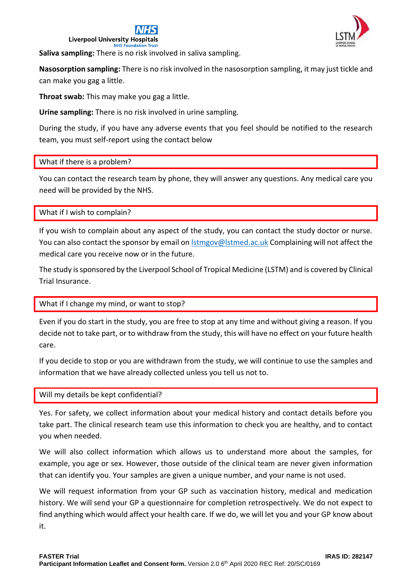



**Saliva sampling:** There is no risk involved in saliva sampling.

**Nasosorption sampling:** There is no risk involved in the nasosorption sampling, it may just tickle and can make you gag a little.

**Throat swab:** This may make you gag a little.

**Urine sampling:** There is no risk involved in urine sampling.

During the study, if you have any adverse events that you feel should be notified to the research team, you must self-report using the contact below

## What if there is a problem?

You can contact the research team by phone, they will answer any questions. Any medical care you need will be provided by the NHS.

## What if I wish to complain?

If you wish to complain about any aspect of the study, you can contact the study doctor or nurse. You can also contact the sponsor by email o[n lstmgov@lstmed.ac.uk](mailto:lstmgov@lstmed.ac.uk) Complaining will not affect the medical care you receive now or in the future.

The study is sponsored by the Liverpool School of Tropical Medicine (LSTM) and is covered by Clinical Trial Insurance.

## What if I change my mind, or want to stop?

Even if you do start in the study, you are free to stop at any time and without giving a reason. If you decide not to take part, or to withdraw from the study, this will have no effect on your future health care.

If you decide to stop or you are withdrawn from the study, we will continue to use the samples and information that we have already collected unless you tell us not to.

## Will my details be kept confidential?

Yes. For safety, we collect information about your medical history and contact details before you take part. The clinical research team use this information to check you are healthy, and to contact you when needed.

We will also collect information which allows us to understand more about the samples, for example, you age or sex. However, those outside of the clinical team are never given information that can identify you. Your samples are given a unique number, and your name is not used.

We will request information from your GP such as vaccination history, medical and medication history. We will send your GP a questionnaire for completion retrospectively. We do not expect to find anything which would affect your health care. If we do, we will let you and your GP know about it.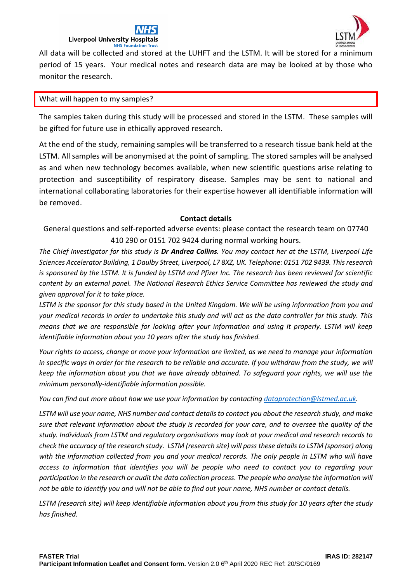

All data will be collected and stored at the LUHFT and the LSTM. It will be stored for a minimum period of 15 years. Your medical notes and research data are may be looked at by those who monitor the research.

### What will happen to my samples?

The samples taken during this study will be processed and stored in the LSTM. These samples will be gifted for future use in ethically approved research.

At the end of the study, remaining samples will be transferred to a research tissue bank held at the LSTM. All samples will be anonymised at the point of sampling. The stored samples will be analysed as and when new technology becomes available, when new scientific questions arise relating to protection and susceptibility of respiratory disease. Samples may be sent to national and international collaborating laboratories for their expertise however all identifiable information will be removed.

## **Contact details**

General questions and self-reported adverse events: please contact the research team on 07740 410 290 or 0151 702 9424 during normal working hours.

*The Chief Investigator for this study is Dr Andrea Collins. You may contact her at the LSTM, Liverpool Life Sciences Accelerator Building, 1 Daulby Street, Liverpool, L7 8XZ, UK. Telephone: 0151 702 9439. This research is sponsored by the LSTM. It is funded by LSTM and Pfizer Inc. The research has been reviewed for scientific content by an external panel. The National Research Ethics Service Committee has reviewed the study and given approval for it to take place.*

*LSTM is the sponsor for this study based in the United Kingdom. We will be using information from you and your medical records in order to undertake this study and will act as the data controller for this study. This means that we are responsible for looking after your information and using it properly. LSTM will keep identifiable information about you 10 years after the study has finished.*

*Your rights to access, change or move your information are limited, as we need to manage your information*  in specific ways in order for the research to be reliable and accurate. If you withdraw from the study, we will *keep the information about you that we have already obtained. To safeguard your rights, we will use the minimum personally-identifiable information possible.*

*You can find out more about how we use your information by contactin[g dataprotection@lstmed.ac.uk.](mailto:dataprotection@lstmed.ac.uk)*

*LSTM will use your name, NHS number and contact details to contact you about the research study, and make sure that relevant information about the study is recorded for your care, and to oversee the quality of the study. Individuals from LSTM and regulatory organisations may look at your medical and research records to check the accuracy of the research study. LSTM (research site) will pass these details to LSTM (sponsor) along with the information collected from you and your medical records. The only people in LSTM who will have access to information that identifies you will be people who need to contact you to regarding your participation in the research or audit the data collection process. The people who analyse the information will not be able to identify you and will not be able to find out your name, NHS number or contact details.*

*LSTM (research site) will keep identifiable information about you from this study for 10 years after the study has finished.*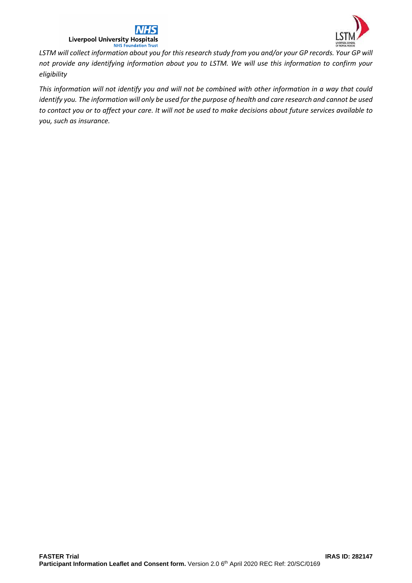



*LSTM will collect information about you for this research study from you and/or your GP records. Your GP will not provide any identifying information about you to LSTM. We will use this information to confirm your eligibility*

*This information will not identify you and will not be combined with other information in a way that could identify you. The information will only be used for the purpose of health and care research and cannot be used to contact you or to affect your care. It will not be used to make decisions about future services available to you, such as insurance.*